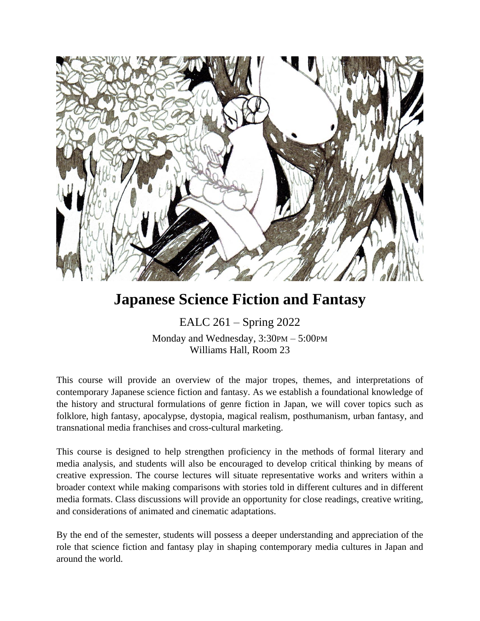

# **Japanese Science Fiction and Fantasy**

EALC 261 – Spring 2022 Monday and Wednesday, 3:30PM – 5:00PM Williams Hall, Room 23

This course will provide an overview of the major tropes, themes, and interpretations of contemporary Japanese science fiction and fantasy. As we establish a foundational knowledge of the history and structural formulations of genre fiction in Japan, we will cover topics such as folklore, high fantasy, apocalypse, dystopia, magical realism, posthumanism, urban fantasy, and transnational media franchises and cross-cultural marketing.

This course is designed to help strengthen proficiency in the methods of formal literary and media analysis, and students will also be encouraged to develop critical thinking by means of creative expression. The course lectures will situate representative works and writers within a broader context while making comparisons with stories told in different cultures and in different media formats. Class discussions will provide an opportunity for close readings, creative writing, and considerations of animated and cinematic adaptations.

By the end of the semester, students will possess a deeper understanding and appreciation of the role that science fiction and fantasy play in shaping contemporary media cultures in Japan and around the world.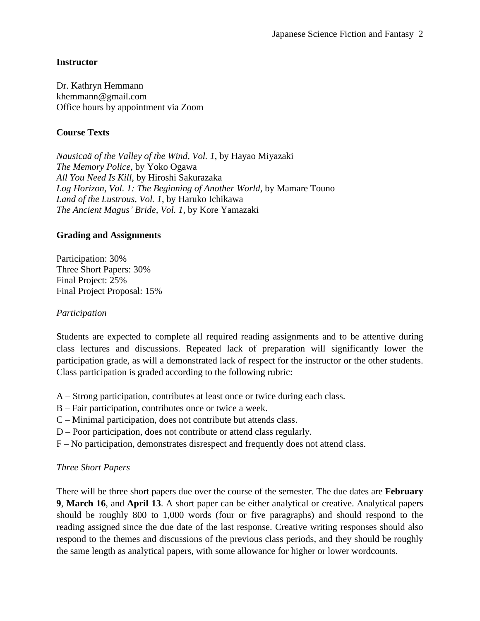## **Instructor**

Dr. Kathryn Hemmann khemmann@gmail.com Office hours by appointment via Zoom

## **Course Texts**

*Nausicaä of the Valley of the Wind*, *Vol. 1*, by Hayao Miyazaki *The Memory Police*, by Yoko Ogawa *All You Need Is Kill*, by Hiroshi Sakurazaka *Log Horizon, Vol. 1: The Beginning of Another World*, by Mamare Touno *Land of the Lustrous, Vol. 1*, by Haruko Ichikawa *The Ancient Magus' Bride, Vol. 1*, by Kore Yamazaki

## **Grading and Assignments**

Participation: 30% Three Short Papers: 30% Final Project: 25% Final Project Proposal: 15%

### *Participation*

Students are expected to complete all required reading assignments and to be attentive during class lectures and discussions. Repeated lack of preparation will significantly lower the participation grade, as will a demonstrated lack of respect for the instructor or the other students. Class participation is graded according to the following rubric:

- A Strong participation, contributes at least once or twice during each class.
- B Fair participation, contributes once or twice a week.
- C Minimal participation, does not contribute but attends class.
- D Poor participation, does not contribute or attend class regularly.
- F No participation, demonstrates disrespect and frequently does not attend class.

## *Three Short Papers*

There will be three short papers due over the course of the semester. The due dates are **February 9**, **March 16**, and **April 13**. A short paper can be either analytical or creative. Analytical papers should be roughly 800 to 1,000 words (four or five paragraphs) and should respond to the reading assigned since the due date of the last response. Creative writing responses should also respond to the themes and discussions of the previous class periods, and they should be roughly the same length as analytical papers, with some allowance for higher or lower wordcounts.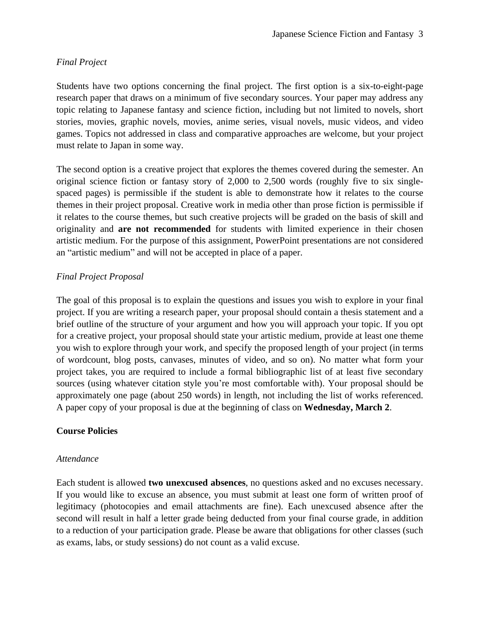## *Final Project*

Students have two options concerning the final project. The first option is a six-to-eight-page research paper that draws on a minimum of five secondary sources. Your paper may address any topic relating to Japanese fantasy and science fiction, including but not limited to novels, short stories, movies, graphic novels, movies, anime series, visual novels, music videos, and video games. Topics not addressed in class and comparative approaches are welcome, but your project must relate to Japan in some way.

The second option is a creative project that explores the themes covered during the semester. An original science fiction or fantasy story of 2,000 to 2,500 words (roughly five to six singlespaced pages) is permissible if the student is able to demonstrate how it relates to the course themes in their project proposal. Creative work in media other than prose fiction is permissible if it relates to the course themes, but such creative projects will be graded on the basis of skill and originality and **are not recommended** for students with limited experience in their chosen artistic medium. For the purpose of this assignment, PowerPoint presentations are not considered an "artistic medium" and will not be accepted in place of a paper.

## *Final Project Proposal*

The goal of this proposal is to explain the questions and issues you wish to explore in your final project. If you are writing a research paper, your proposal should contain a thesis statement and a brief outline of the structure of your argument and how you will approach your topic. If you opt for a creative project, your proposal should state your artistic medium, provide at least one theme you wish to explore through your work, and specify the proposed length of your project (in terms of wordcount, blog posts, canvases, minutes of video, and so on). No matter what form your project takes, you are required to include a formal bibliographic list of at least five secondary sources (using whatever citation style you're most comfortable with). Your proposal should be approximately one page (about 250 words) in length, not including the list of works referenced. A paper copy of your proposal is due at the beginning of class on **Wednesday, March 2**.

## **Course Policies**

#### *Attendance*

Each student is allowed **two unexcused absences**, no questions asked and no excuses necessary. If you would like to excuse an absence, you must submit at least one form of written proof of legitimacy (photocopies and email attachments are fine). Each unexcused absence after the second will result in half a letter grade being deducted from your final course grade, in addition to a reduction of your participation grade. Please be aware that obligations for other classes (such as exams, labs, or study sessions) do not count as a valid excuse.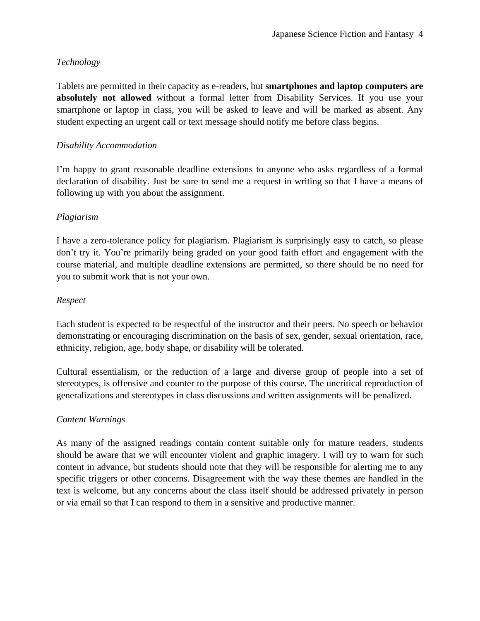## *Technology*

Tablets are permitted in their capacity as e-readers, but **smartphones and laptop computers are absolutely not allowed** without a formal letter from Disability Services. If you use your smartphone or laptop in class, you will be asked to leave and will be marked as absent. Any student expecting an urgent call or text message should notify me before class begins.

## *Disability Accommodation*

I'm happy to grant reasonable deadline extensions to anyone who asks regardless of a formal declaration of disability. Just be sure to send me a request in writing so that I have a means of following up with you about the assignment.

## *Plagiarism*

I have a zero-tolerance policy for plagiarism. Plagiarism is surprisingly easy to catch, so please don't try it. You're primarily being graded on your good faith effort and engagement with the course material, and multiple deadline extensions are permitted, so there should be no need for you to submit work that is not your own.

## *Respect*

Each student is expected to be respectful of the instructor and their peers. No speech or behavior demonstrating or encouraging discrimination on the basis of sex, gender, sexual orientation, race, ethnicity, religion, age, body shape, or disability will be tolerated.

Cultural essentialism, or the reduction of a large and diverse group of people into a set of stereotypes, is offensive and counter to the purpose of this course. The uncritical reproduction of generalizations and stereotypes in class discussions and written assignments will be penalized.

## *Content Warnings*

As many of the assigned readings contain content suitable only for mature readers, students should be aware that we will encounter violent and graphic imagery. I will try to warn for such content in advance, but students should note that they will be responsible for alerting me to any specific triggers or other concerns. Disagreement with the way these themes are handled in the text is welcome, but any concerns about the class itself should be addressed privately in person or via email so that I can respond to them in a sensitive and productive manner.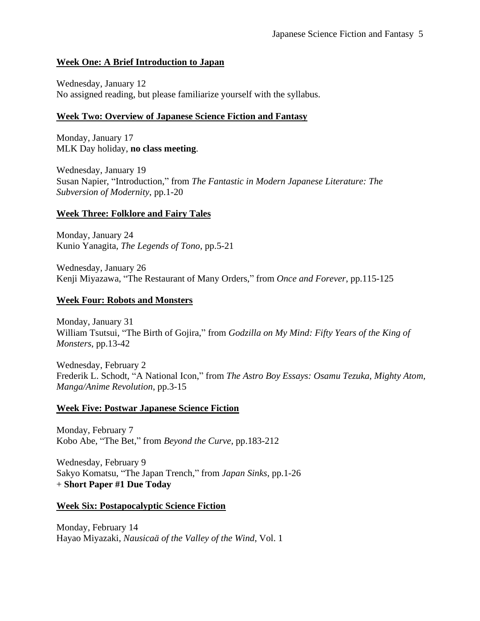## **Week One: A Brief Introduction to Japan**

Wednesday, January 12 No assigned reading, but please familiarize yourself with the syllabus.

# **Week Two: Overview of Japanese Science Fiction and Fantasy**

Monday, January 17 MLK Day holiday, **no class meeting**.

Wednesday, January 19 Susan Napier, "Introduction," from *The Fantastic in Modern Japanese Literature: The Subversion of Modernity*, pp.1-20

# **Week Three: Folklore and Fairy Tales**

Monday, January 24 Kunio Yanagita, *The Legends of Tono*, pp.5-21

Wednesday, January 26 Kenji Miyazawa, "The Restaurant of Many Orders," from *Once and Forever*, pp.115-125

# **Week Four: Robots and Monsters**

Monday, January 31 William Tsutsui, "The Birth of Gojira," from *Godzilla on My Mind: Fifty Years of the King of Monsters*, pp.13-42

Wednesday, February 2 Frederik L. Schodt, "A National Icon," from *The Astro Boy Essays: Osamu Tezuka, Mighty Atom, Manga/Anime Revolution*, pp.3-15

# **Week Five: Postwar Japanese Science Fiction**

Monday, February 7 Kobo Abe, "The Bet," from *Beyond the Curve*, pp.183-212

Wednesday, February 9 Sakyo Komatsu, "The Japan Trench," from *Japan Sinks*, pp.1-26 + **Short Paper #1 Due Today**

# **Week Six: Postapocalyptic Science Fiction**

Monday, February 14 Hayao Miyazaki, *Nausicaä of the Valley of the Wind*, Vol. 1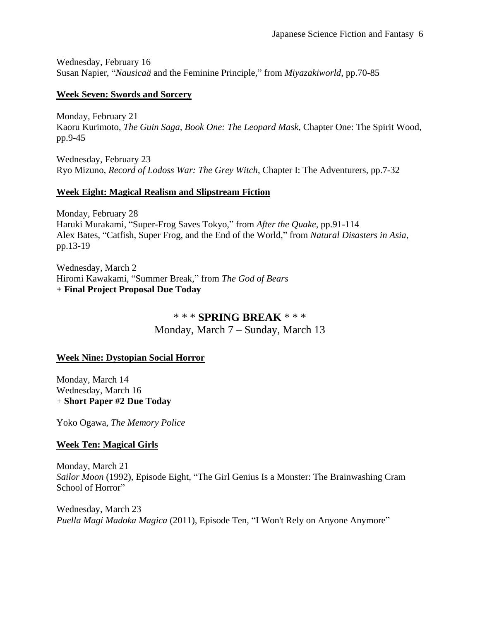Wednesday, February 16 Susan Napier, "*Nausicaä* and the Feminine Principle," from *Miyazakiworld*, pp.70-85

### **Week Seven: Swords and Sorcery**

Monday, February 21 Kaoru Kurimoto, *The Guin Saga, Book One: The Leopard Mask*, Chapter One: The Spirit Wood, pp.9-45

Wednesday, February 23 Ryo Mizuno, *Record of Lodoss War: The Grey Witch*, Chapter I: The Adventurers, pp.7-32

## **Week Eight: Magical Realism and Slipstream Fiction**

Monday, February 28 Haruki Murakami, "Super-Frog Saves Tokyo," from *After the Quake*, pp.91-114 Alex Bates, "Catfish, Super Frog, and the End of the World," from *Natural Disasters in Asia*, pp.13-19

Wednesday, March 2 Hiromi Kawakami, "Summer Break," from *The God of Bears* **+ Final Project Proposal Due Today**

# \* \* \* **SPRING BREAK** \* \* \*

Monday, March 7 – Sunday, March 13

## **Week Nine: Dystopian Social Horror**

Monday, March 14 Wednesday, March 16 + **Short Paper #2 Due Today**

Yoko Ogawa, *The Memory Police*

## **Week Ten: Magical Girls**

Monday, March 21 *Sailor Moon* (1992), Episode Eight, "The Girl Genius Is a Monster: The Brainwashing Cram School of Horror"

Wednesday, March 23 *Puella Magi Madoka Magica* (2011), Episode Ten, "I Won't Rely on Anyone Anymore"